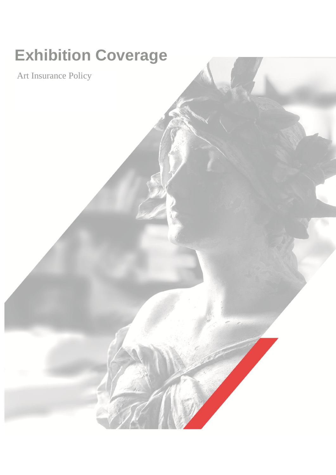# **Exhibition Coverage**

Art Insurance Policy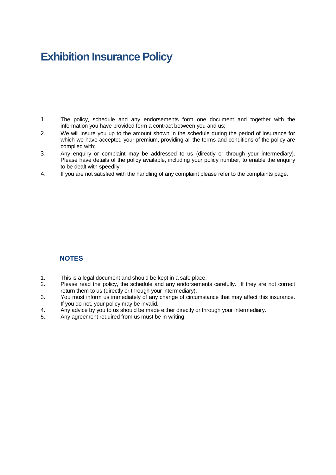# **Exhibition Insurance Policy**

- 1. The policy, schedule and any endorsements form one document and together with the information you have provided form a contract between you and us;
- 2. We will insure you up to the amount shown in the schedule during the period of insurance for which we have accepted your premium, providing all the terms and conditions of the policy are complied with;
- 3. Any enquiry or complaint may be addressed to us (directly or through your intermediary). Please have details of the policy available, including your policy number, to enable the enquiry to be dealt with speedily;
- 4. If you are not satisfied with the handling of any complaint please refer to the complaints page.

# **NOTES**

- 1. This is a legal document and should be kept in a safe place.<br>2. Please read the policy, the schedule and any endorsemen
- Please read the policy, the schedule and any endorsements carefully. If they are not correct return them to us (directly or through your intermediary).
- 3. You must inform us immediately of any change of circumstance that may affect this insurance. If you do not, your policy may be invalid.
- 4. Any advice by you to us should be made either directly or through your intermediary.
- 5. Any agreement required from us must be in writing.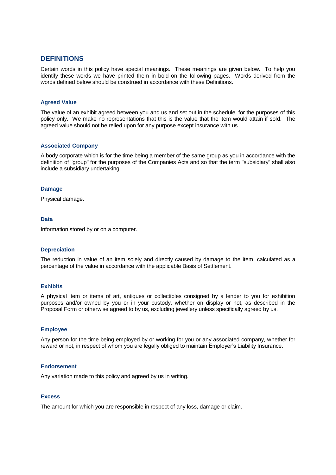## **DEFINITIONS**

Certain words in this policy have special meanings. These meanings are given below. To help you identify these words we have printed them in bold on the following pages. Words derived from the words defined below should be construed in accordance with these Definitions.

#### **Agreed Value**

The value of an exhibit agreed between you and us and set out in the schedule, for the purposes of this policy only. We make no representations that this is the value that the item would attain if sold. The agreed value should not be relied upon for any purpose except insurance with us.

#### **Associated Company**

A body corporate which is for the time being a member of the same group as you in accordance with the definition of "group" for the purposes of the Companies Acts and so that the term "subsidiary" shall also include a subsidiary undertaking.

#### **Damage**

Physical damage.

#### **Data**

Information stored by or on a computer.

#### **Depreciation**

The reduction in value of an item solely and directly caused by damage to the item, calculated as a percentage of the value in accordance with the applicable Basis of Settlement.

#### **Exhibits**

A physical item or items of art, antiques or collectibles consigned by a lender to you for exhibition purposes and/or owned by you or in your custody, whether on display or not, as described in the Proposal Form or otherwise agreed to by us, excluding jewellery unless specifically agreed by us.

#### **Employee**

Any person for the time being employed by or working for you or any associated company, whether for reward or not, in respect of whom you are legally obliged to maintain Employer's Liability Insurance.

#### **Endorsement**

Any variation made to this policy and agreed by us in writing.

#### **Excess**

The amount for which you are responsible in respect of any loss, damage or claim.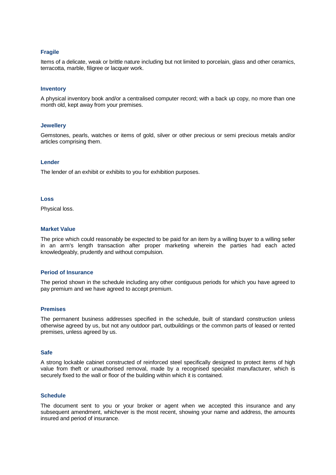#### **Fragile**

Items of a delicate, weak or brittle nature including but not limited to porcelain, glass and other ceramics, terracotta, marble, filigree or lacquer work.

#### **Inventory**

A physical inventory book and/or a centralised computer record; with a back up copy, no more than one month old, kept away from your premises.

#### **Jewellery**

Gemstones, pearls, watches or items of gold, silver or other precious or semi precious metals and/or articles comprising them.

#### **Lender**

The lender of an exhibit or exhibits to you for exhibition purposes.

#### **Loss**

Physical loss.

#### **Market Value**

The price which could reasonably be expected to be paid for an item by a willing buyer to a willing seller in an arm's length transaction after proper marketing wherein the parties had each acted knowledgeably, prudently and without compulsion.

#### **Period of Insurance**

The period shown in the schedule including any other contiguous periods for which you have agreed to pay premium and we have agreed to accept premium.

#### **Premises**

The permanent business addresses specified in the schedule, built of standard construction unless otherwise agreed by us, but not any outdoor part, outbuildings or the common parts of leased or rented premises, unless agreed by us.

#### **Safe**

A strong lockable cabinet constructed of reinforced steel specifically designed to protect items of high value from theft or unauthorised removal, made by a recognised specialist manufacturer, which is securely fixed to the wall or floor of the building within which it is contained.

#### **Schedule**

The document sent to you or your broker or agent when we accepted this insurance and any subsequent amendment, whichever is the most recent, showing your name and address, the amounts insured and period of insurance.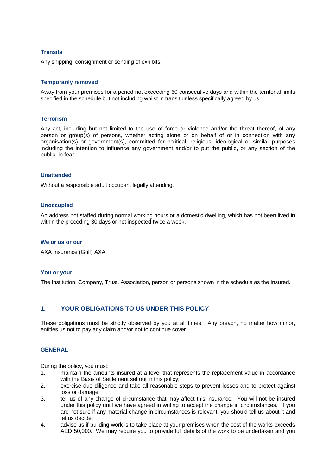#### **Transits**

Any shipping, consignment or sending of exhibits.

#### **Temporarily removed**

Away from your premises for a period not exceeding 60 consecutive days and within the territorial limits specified in the schedule but not including whilst in transit unless specifically agreed by us.

#### **Terrorism**

Any act, including but not limited to the use of force or violence and/or the threat thereof, of any person or group(s) of persons, whether acting alone or on behalf of or in connection with any organisation(s) or government(s), committed for political, religious, ideological or similar purposes including the intention to influence any government and/or to put the public, or any section of the public, in fear.

#### **Unattended**

Without a responsible adult occupant legally attending.

#### **Unoccupied**

An address not staffed during normal working hours or a domestic dwelling, which has not been lived in within the preceding 30 days or not inspected twice a week.

#### **We or us or our**

AXA Insurance (Gulf) AXA

#### **You or your**

The Institution, Company, Trust, Association, person or persons shown in the schedule as the Insured.

#### **1. YOUR OBLIGATIONS TO US UNDER THIS POLICY**

These obligations must be strictly observed by you at all times. Any breach, no matter how minor, entitles us not to pay any claim and/or not to continue cover.

#### **GENERAL**

During the policy, you must:

- 1. maintain the amounts insured at a level that represents the replacement value in accordance with the Basis of Settlement set out in this policy;
- 2. exercise due diligence and take all reasonable steps to prevent losses and to protect against loss or damage;
- 3. tell us of any change of circumstance that may affect this insurance. You will not be insured under this policy until we have agreed in writing to accept the change in circumstances. If you are not sure if any material change in circumstances is relevant, you should tell us about it and let us decide;
- 4. advise us if building work is to take place at your premises when the cost of the works exceeds AED 50,000. We may require you to provide full details of the work to be undertaken and you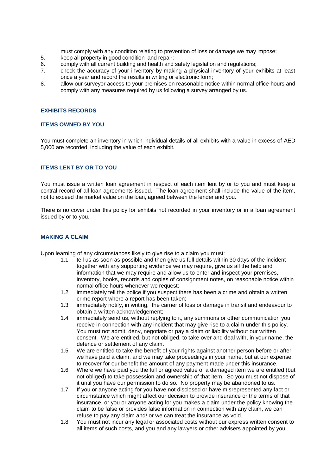must comply with any condition relating to prevention of loss or damage we may impose;

- 5. keep all property in good condition and repair;
- 6. comply with all current building and health and safety legislation and regulations;
- 7. check the accuracy of your inventory by making a physical inventory of your exhibits at least once a year and record the results in writing or electronic form;
- 8. allow our surveyor access to your premises on reasonable notice within normal office hours and comply with any measures required by us following a survey arranged by us.

#### **EXHIBITS RECORDS**

#### **ITEMS OWNED BY YOU**

You must complete an inventory in which individual details of all exhibits with a value in excess of AED 5,000 are recorded, including the value of each exhibit.

#### **ITEMS LENT BY OR TO YOU**

You must issue a written loan agreement in respect of each item lent by or to you and must keep a central record of all loan agreements issued. The loan agreement shall include the value of the item, not to exceed the market value on the loan, agreed between the lender and you.

There is no cover under this policy for exhibits not recorded in your inventory or in a loan agreement issued by or to you.

#### **MAKING A CLAIM**

Upon learning of any circumstances likely to give rise to a claim you must:

- 1.1 tell us as soon as possible and then give us full details within 30 days of the incident together with any supporting evidence we may require, give us all the help and information that we may require and allow us to enter and inspect your premises, inventory, books, records and copies of consignment notes, on reasonable notice within normal office hours whenever we request;
- 1.2 immediately tell the police if you suspect there has been a crime and obtain a written crime report where a report has been taken;
- 1.3 immediately notify, in writing, the carrier of loss or damage in transit and endeavour to obtain a written acknowledgement;
- 1.4 immediately send us, without replying to it, any summons or other communication you receive in connection with any incident that may give rise to a claim under this policy. You must not admit, deny, negotiate or pay a claim or liability without our written consent. We are entitled, but not obliged, to take over and deal with, in your name, the defence or settlement of any claim.
- 1.5 We are entitled to take the benefit of your rights against another person before or after we have paid a claim, and we may take proceedings in your name, but at our expense, to recover for our benefit the amount of any payment made under this insurance.
- 1.6 Where we have paid you the full or agreed value of a damaged item we are entitled (but not obliged) to take possession and ownership of that item. So you must not dispose of it until you have our permission to do so. No property may be abandoned to us.
- 1.7 If you or anyone acting for you have not disclosed or have misrepresented any fact or circumstance which might affect our decision to provide insurance or the terms of that insurance, or you or anyone acting for you makes a claim under the policy knowing the claim to be false or provides false information in connection with any claim, we can refuse to pay any claim and/ or we can treat the insurance as void.
- 1.8 You must not incur any legal or associated costs without our express written consent to all items of such costs, and you and any lawyers or other advisers appointed by you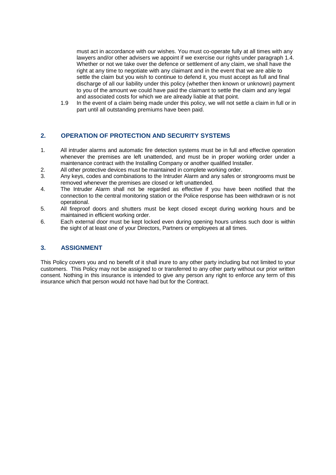must act in accordance with our wishes. You must co-operate fully at all times with any lawyers and/or other advisers we appoint if we exercise our rights under paragraph 1.4. Whether or not we take over the defence or settlement of any claim, we shall have the right at any time to negotiate with any claimant and in the event that we are able to settle the claim but you wish to continue to defend it, you must accept as full and final discharge of all our liability under this policy (whether then known or unknown) payment to you of the amount we could have paid the claimant to settle the claim and any legal and associated costs for which we are already liable at that point.

1.9 In the event of a claim being made under this policy, we will not settle a claim in full or in part until all outstanding premiums have been paid.

### **2. OPERATION OF PROTECTION AND SECURITY SYSTEMS**

- 1. All intruder alarms and automatic fire detection systems must be in full and effective operation whenever the premises are left unattended, and must be in proper working order under a maintenance contract with the Installing Company or another qualified Installer.
- 2. All other protective devices must be maintained in complete working order.
- 3. Any keys, codes and combinations to the Intruder Alarm and any safes or strongrooms must be removed whenever the premises are closed or left unattended.
- 4. The Intruder Alarm shall not be regarded as effective if you have been notified that the connection to the central monitoring station or the Police response has been withdrawn or is not operational.
- 5. All fireproof doors and shutters must be kept closed except during working hours and be maintained in efficient working order.
- 6. Each external door must be kept locked even during opening hours unless such door is within the sight of at least one of your Directors, Partners or employees at all times.

#### **3. ASSIGNMENT**

This Policy covers you and no benefit of it shall inure to any other party including but not limited to your customers. This Policy may not be assigned to or transferred to any other party without our prior written consent. Nothing in this insurance is intended to give any person any right to enforce any term of this insurance which that person would not have had but for the Contract.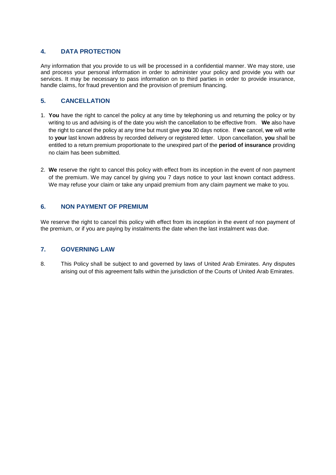# **4. DATA PROTECTION**

Any information that you provide to us will be processed in a confidential manner. We may store, use and process your personal information in order to administer your policy and provide you with our services. It may be necessary to pass information on to third parties in order to provide insurance, handle claims, for fraud prevention and the provision of premium financing.

# **5. CANCELLATION**

- 1. **You** have the right to cancel the policy at any time by telephoning us and returning the policy or by writing to us and advising is of the date you wish the cancellation to be effective from. **We** also have the right to cancel the policy at any time but must give **you** 30 days notice. If **we** cancel, **we** will write to **your** last known address by recorded delivery or registered letter. Upon cancellation, **you** shall be entitled to a return premium proportionate to the unexpired part of the **period of insurance** providing no claim has been submitted.
- 2. **We** reserve the right to cancel this policy with effect from its inception in the event of non payment of the premium. We may cancel by giving you 7 days notice to your last known contact address. We may refuse your claim or take any unpaid premium from any claim payment we make to you.

# **6. NON PAYMENT OF PREMIUM**

We reserve the right to cancel this policy with effect from its inception in the event of non payment of the premium, or if you are paying by instalments the date when the last instalment was due.

# **7. GOVERNING LAW**

8. This Policy shall be subject to and governed by laws of United Arab Emirates. Any disputes arising out of this agreement falls within the jurisdiction of the Courts of United Arab Emirates.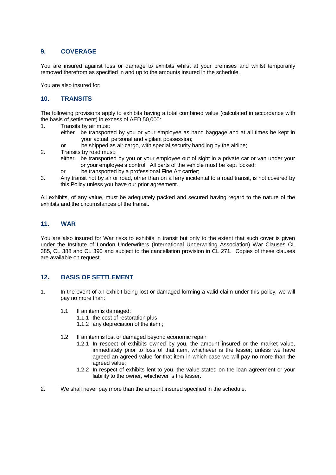# **9. COVERAGE**

You are insured against loss or damage to exhibits whilst at your premises and whilst temporarily removed therefrom as specified in and up to the amounts insured in the schedule.

You are also insured for:

# **10. TRANSITS**

The following provisions apply to exhibits having a total combined value (calculated in accordance with the basis of settlement) in excess of AED 50,000:

- 1. Transits by air must:
	- either be transported by you or your employee as hand baggage and at all times be kept in your actual, personal and vigilant possession;
		- or be shipped as air cargo, with special security handling by the airline;
- 2. Transits by road must:
	- either be transported by you or your employee out of sight in a private car or van under your or your employee's control. All parts of the vehicle must be kept locked;
	- or be transported by a professional Fine Art carrier;
- 3. Any transit not by air or road, other than on a ferry incidental to a road transit, is not covered by this Policy unless you have our prior agreement.

All exhibits, of any value, must be adequately packed and secured having regard to the nature of the exhibits and the circumstances of the transit.

### **11. WAR**

You are also insured for War risks to exhibits in transit but only to the extent that such cover is given under the Institute of London Underwriters (International Underwriting Association) War Clauses CL 385, CL 388 and CL 390 and subject to the cancellation provision in CL 271. Copies of these clauses are available on request.

# **12. BASIS OF SETTLEMENT**

- 1. In the event of an exhibit being lost or damaged forming a valid claim under this policy, we will pay no more than:
	- 1.1 If an item is damaged:
		- 1.1.1 the cost of restoration plus
		- 1.1.2 any depreciation of the item ;
	- 1.2 If an item is lost or damaged beyond economic repair
		- 1.2.1 In respect of exhibits owned by you, the amount insured or the market value, immediately prior to loss of that item, whichever is the lesser; unless we have agreed an agreed value for that item in which case we will pay no more than the agreed value;
		- 1.2.2 In respect of exhibits lent to you, the value stated on the loan agreement or your liability to the owner, whichever is the lesser.
- 2. We shall never pay more than the amount insured specified in the schedule.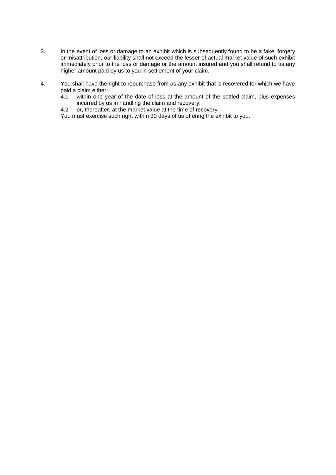- 3. In the event of loss or damage to an exhibit which is subsequently found to be a fake, forgery or misattribution, our liability shall not exceed the lesser of actual market value of such exhibit immediately prior to the loss or damage or the amount insured and you shall refund to us any higher amount paid by us to you in settlement of your claim.
- 4. You shall have the right to repurchase from us any exhibit that is recovered for which we have paid a claim either:<br>4.1 within one ve
	- within one year of the date of loss at the amount of the settled claim, plus expenses incurred by us in handling the claim and recovery;
	- 4.2 or, thereafter, at the market value at the time of recovery.
	- You must exercise such right within 30 days of us offering the exhibit to you.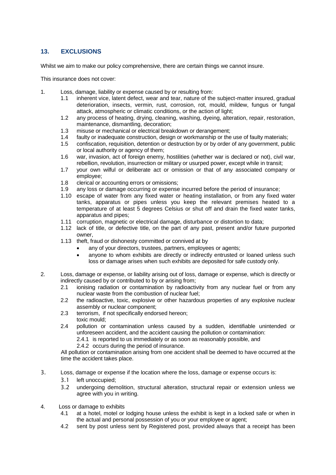# **13. EXCLUSIONS**

Whilst we aim to make our policy comprehensive, there are certain things we cannot insure.

This insurance does not cover:

- 1. Loss, damage, liability or expense caused by or resulting from:
	- 1.1 inherent vice, latent defect, wear and tear, nature of the subject-matter insured, gradual deterioration, insects, vermin, rust, corrosion, rot, mould, mildew, fungus or fungal attack, atmospheric or climatic conditions, or the action of light;
	- 1.2 any process of heating, drying, cleaning, washing, dyeing, alteration, repair, restoration, maintenance, dismantling, decoration;
	- 1.3 misuse or mechanical or electrical breakdown or derangement;
	- 1.4 faulty or inadequate construction, design or workmanship or the use of faulty materials;
	- 1.5 confiscation, requisition, detention or destruction by or by order of any government, public or local authority or agency of them;
	- 1.6 war, invasion, act of foreign enemy, hostilities (whether war is declared or not), civil war, rebellion, revolution, insurrection or military or usurped power, except while in transit;
	- 1.7 your own wilful or deliberate act or omission or that of any associated company or employee;
	- 1.8 clerical or accounting errors or omissions;
	- 1.9 any loss or damage occurring or expense incurred before the period of insurance;
	- 1.10 escape of water from any fixed water or heating installation, or from any fixed water tanks, apparatus or pipes unless you keep the relevant premises heated to a temperature of at least 5 degrees Celsius or shut off and drain the fixed water tanks, apparatus and pipes;
	- 1.11 corruption, magnetic or electrical damage, disturbance or distortion to data;
	- 1.12 lack of title, or defective title, on the part of any past, present and/or future purported owner,
	- 1.13 theft, fraud or dishonesty committed or connived at by
		- any of your directors, trustees, partners, employees or agents;
		- anyone to whom exhibits are directly or indirectly entrusted or loaned unless such loss or damage arises when such exhibits are deposited for safe custody only.
- 2. Loss, damage or expense, or liability arising out of loss, damage or expense, which is directly or indirectly caused by or contributed to by or arising from;
	- 2.1 ionising radiation or contamination by radioactivity from any nuclear fuel or from any nuclear waste from the combustion of nuclear fuel;
	- 2.2 the radioactive, toxic, explosive or other hazardous properties of any explosive nuclear assembly or nuclear component;
	- 2.3 terrorism, if not specifically endorsed hereon; toxic mould;
	- 2.4 pollution or contamination unless caused by a sudden, identifiable unintended or unforeseen accident, and the accident causing the pollution or contamination:
		- 2.4.1 is reported to us immediately or as soon as reasonably possible, and
		- 2.4.2 occurs during the period of insurance.

All pollution or contamination arising from one accident shall be deemed to have occurred at the time the accident takes place.

- 3. Loss, damage or expense if the location where the loss, damage or expense occurs is:
	- 3.1 left unoccupied;
	- 3.2 undergoing demolition, structural alteration, structural repair or extension unless we agree with you in writing.
- 4. Loss or damage to exhibits
	- 4.1 at a hotel, motel or lodging house unless the exhibit is kept in a locked safe or when in the actual and personal possession of you or your employee or agent;
	- 4.2 sent by post unless sent by Registered post, provided always that a receipt has been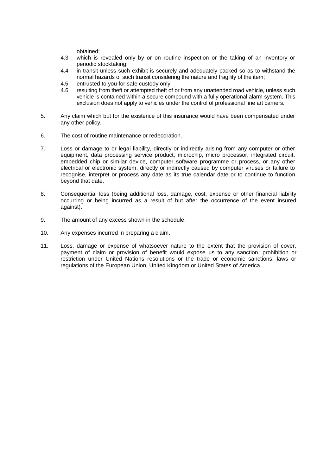obtained;

- 4.3 which is revealed only by or on routine inspection or the taking of an inventory or periodic stocktaking;
- 4.4 in transit unless such exhibit is securely and adequately packed so as to withstand the normal hazards of such transit considering the nature and fragility of the item;
- 4.5 entrusted to you for safe custody only;
- 4.6 resulting from theft or attempted theft of or from any unattended road vehicle, unless such vehicle is contained within a secure compound with a fully operational alarm system. This exclusion does not apply to vehicles under the control of professional fine art carriers.
- 5. Any claim which but for the existence of this insurance would have been compensated under any other policy.
- 6. The cost of routine maintenance or redecoration.
- 7. Loss or damage to or legal liability, directly or indirectly arising from any computer or other equipment, data processing service product, microchip, micro processor, integrated circuit, embedded chip or similar device, computer software programme or process, or any other electrical or electronic system, directly or indirectly caused by computer viruses or failure to recognise, interpret or process any date as its true calendar date or to continue to function beyond that date.
- 8. Consequential loss (being additional loss, damage, cost, expense or other financial liability occurring or being incurred as a result of but after the occurrence of the event insured against).
- 9. The amount of any excess shown in the schedule.
- 10. Any expenses incurred in preparing a claim.
- 11. Loss, damage or expense of whatsoever nature to the extent that the provision of cover, payment of claim or provision of benefit would expose us to any sanction, prohibition or restriction under United Nations resolutions or the trade or economic sanctions, laws or regulations of the European Union, United Kingdom or United States of America.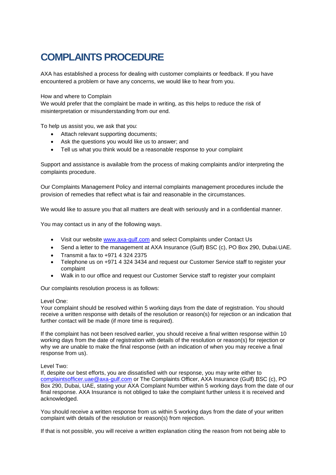# **COMPLAINTS PROCEDURE**

AXA has established a process for dealing with customer complaints or feedback. If you have encountered a problem or have any concerns, we would like to hear from you.

#### How and where to Complain

We would prefer that the complaint be made in writing, as this helps to reduce the risk of misinterpretation or misunderstanding from our end.

To help us assist you, we ask that you:

- Attach relevant supporting documents:
- Ask the questions you would like us to answer; and
- Tell us what you think would be a reasonable response to your complaint

Support and assistance is available from the process of making complaints and/or interpreting the complaints procedure.

Our Complaints Management Policy and internal complaints management procedures include the provision of remedies that reflect what is fair and reasonable in the circumstances.

We would like to assure you that all matters are dealt with seriously and in a confidential manner.

You may contact us in any of the following ways.

- Visit our website [www.axa-gulf.com](http://www.axa-gulf.com/) and select Complaints under Contact Us
- Send a letter to the management at AXA Insurance (Gulf) BSC (c), PO Box 290, Dubai.UAE.
- Transmit a fax to  $+971$  4 324 2375
- Telephone us on +971 4 324 3434 and request our Customer Service staff to register your complaint
- Walk in to our office and request our Customer Service staff to register your complaint

Our complaints resolution process is as follows:

#### Level One:

Your complaint should be resolved within 5 working days from the date of registration. You should receive a written response with details of the resolution or reason(s) for rejection or an indication that further contact will be made (if more time is required).

If the complaint has not been resolved earlier, you should receive a final written response within 10 working days from the date of registration with details of the resolution or reason(s) for rejection or why we are unable to make the final response (with an indication of when you may receive a final response from us).

#### Level Two:

If, despite our best efforts, you are dissatisfied with our response, you may write either to [complaintsofficer.uae@axa-gulf.com](mailto:complaintsofficer.uae@axa-gulf.com) or The Complaints Officer, AXA Insurance (Gulf) BSC (c), PO Box 290, Dubai, UAE, stating your AXA Complaint Number within 5 working days from the date of our final response. AXA Insurance is not obliged to take the complaint further unless it is received and acknowledged.

You should receive a written response from us within 5 working days from the date of your written complaint with details of the resolution or reason(s) from rejection.

If that is not possible, you will receive a written explanation citing the reason from not being able to